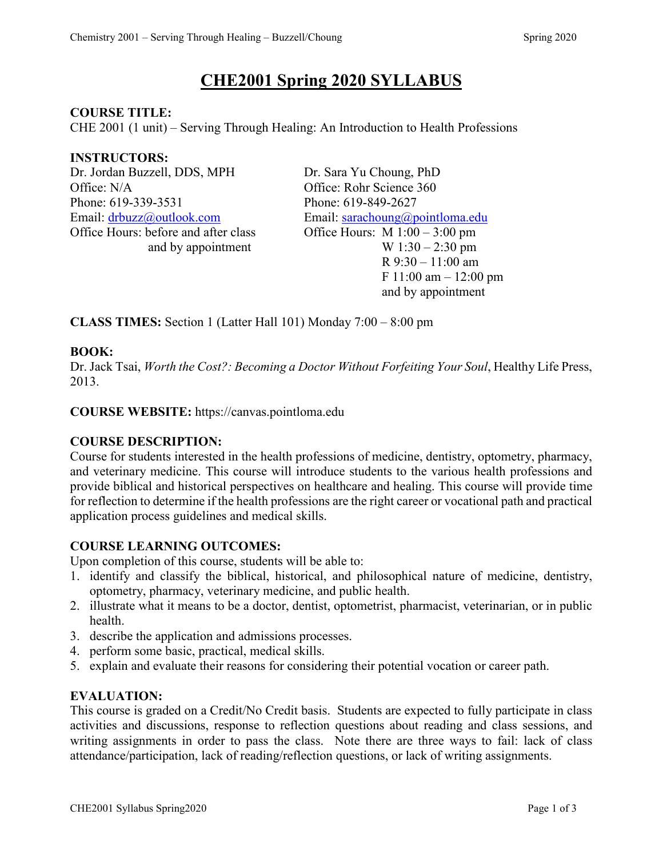# **CHE2001 Spring 2020 SYLLABUS**

#### **COURSE TITLE:**

CHE 2001 (1 unit) – Serving Through Healing: An Introduction to Health Professions

#### **INSTRUCTORS:**

Dr. Jordan Buzzell, DDS, MPH Dr. Sara Yu Choung, PhD Office: N/A Office: Rohr Science 360 Phone: 619-339-3531 Phone: 619-849-2627 Email: [drbuzz@outlook.com](mailto:drbuzz@outlook.com) Email: [sarachoung@pointloma.edu](mailto:sarachoung@pointloma.edu) Office Hours: before and after class Office Hours: M 1:00 – 3:00 pm

and by appointment  $W 1:30 - 2:30 \text{ pm}$  R 9:30 – 11:00 am F 11:00 am – 12:00 pm and by appointment

**CLASS TIMES:** Section 1 (Latter Hall 101) Monday 7:00 – 8:00 pm

# **BOOK:**

Dr. Jack Tsai, *Worth the Cost?: Becoming a Doctor Without Forfeiting Your Soul*, Healthy Life Press, 2013.

**COURSE WEBSITE:** https://canvas.pointloma.edu

# **COURSE DESCRIPTION:**

Course for students interested in the health professions of medicine, dentistry, optometry, pharmacy, and veterinary medicine. This course will introduce students to the various health professions and provide biblical and historical perspectives on healthcare and healing. This course will provide time for reflection to determine if the health professions are the right career or vocational path and practical application process guidelines and medical skills.

# **COURSE LEARNING OUTCOMES:**

Upon completion of this course, students will be able to:

- 1. identify and classify the biblical, historical, and philosophical nature of medicine, dentistry, optometry, pharmacy, veterinary medicine, and public health.
- 2. illustrate what it means to be a doctor, dentist, optometrist, pharmacist, veterinarian, or in public health.
- 3. describe the application and admissions processes.
- 4. perform some basic, practical, medical skills.
- 5. explain and evaluate their reasons for considering their potential vocation or career path.

#### **EVALUATION:**

This course is graded on a Credit/No Credit basis. Students are expected to fully participate in class activities and discussions, response to reflection questions about reading and class sessions, and writing assignments in order to pass the class. Note there are three ways to fail: lack of class attendance/participation, lack of reading/reflection questions, or lack of writing assignments.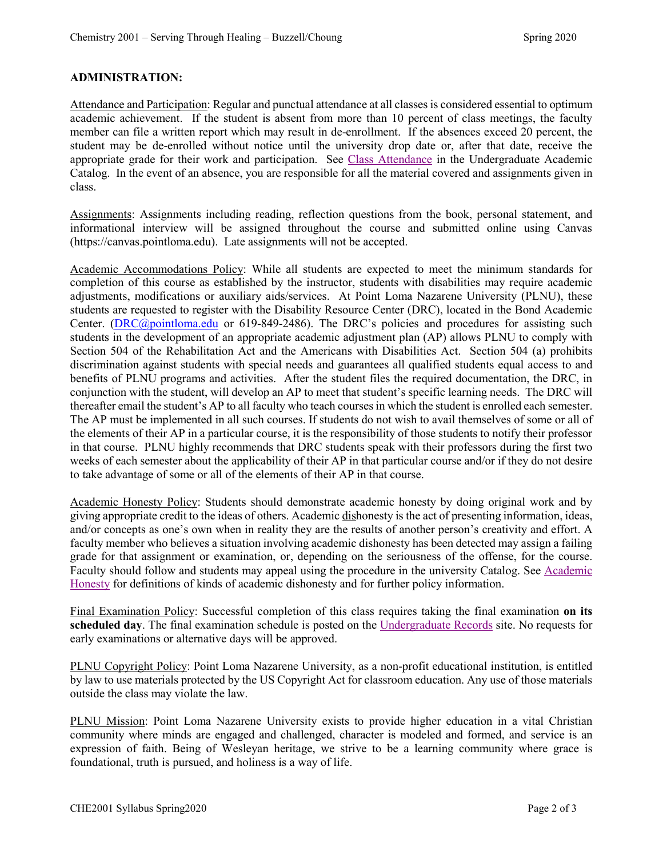#### **ADMINISTRATION:**

Attendance and Participation: Regular and punctual attendance at all classes is considered essential to optimum academic achievement. If the student is absent from more than 10 percent of class meetings, the faculty member can file a written report which may result in de-enrollment. If the absences exceed 20 percent, the student may be de-enrolled without notice until the university drop date or, after that date, receive the appropriate grade for their work and participation. See [Class Attendance](https://catalog.pointloma.edu/content.php?catoid=35&navoid=2136#Class_Attendance) in the Undergraduate Academic Catalog. In the event of an absence, you are responsible for all the material covered and assignments given in class.

Assignments: Assignments including reading, reflection questions from the book, personal statement, and informational interview will be assigned throughout the course and submitted online using Canvas (https://canvas.pointloma.edu). Late assignments will not be accepted.

Academic Accommodations Policy: While all students are expected to meet the minimum standards for completion of this course as established by the instructor, students with disabilities may require academic adjustments, modifications or auxiliary aids/services. At Point Loma Nazarene University (PLNU), these students are requested to register with the Disability Resource Center (DRC), located in the Bond Academic Center. [\(DRC@pointloma.edu](mailto:DRC@pointloma.edu) or 619-849-2486). The DRC's policies and procedures for assisting such students in the development of an appropriate academic adjustment plan (AP) allows PLNU to comply with Section 504 of the Rehabilitation Act and the Americans with Disabilities Act. Section 504 (a) prohibits discrimination against students with special needs and guarantees all qualified students equal access to and benefits of PLNU programs and activities. After the student files the required documentation, the DRC, in conjunction with the student, will develop an AP to meet that student's specific learning needs. The DRC will thereafter email the student's AP to all faculty who teach courses in which the student is enrolled each semester. The AP must be implemented in all such courses. If students do not wish to avail themselves of some or all of the elements of their AP in a particular course, it is the responsibility of those students to notify their professor in that course. PLNU highly recommends that DRC students speak with their professors during the first two weeks of each semester about the applicability of their AP in that particular course and/or if they do not desire to take advantage of some or all of the elements of their AP in that course.

Academic Honesty Policy: Students should demonstrate academic honesty by doing original work and by giving appropriate credit to the ideas of others. Academic dishonesty is the act of presenting information, ideas, and/or concepts as one's own when in reality they are the results of another person's creativity and effort. A faculty member who believes a situation involving academic dishonesty has been detected may assign a failing grade for that assignment or examination, or, depending on the seriousness of the offense, for the course. Faculty should follow and students may appeal using the procedure in the university Catalog. See [Academic](https://catalog.pointloma.edu/content.php?catoid=41&navoid=2435#Academic_Honesty)  [Honesty](https://catalog.pointloma.edu/content.php?catoid=41&navoid=2435#Academic_Honesty) for definitions of kinds of academic dishonesty and for further policy information.

Final Examination Policy: Successful completion of this class requires taking the final examination **on its scheduled day**. The final examination schedule is posted on the [Undergraduate Records](https://www.pointloma.edu/offices/records/undergraduate-records) site. No requests for early examinations or alternative days will be approved.

PLNU Copyright Policy: Point Loma Nazarene University, as a non-profit educational institution, is entitled by law to use materials protected by the US Copyright Act for classroom education. Any use of those materials outside the class may violate the law.

PLNU Mission: Point Loma Nazarene University exists to provide higher education in a vital Christian community where minds are engaged and challenged, character is modeled and formed, and service is an expression of faith. Being of Wesleyan heritage, we strive to be a learning community where grace is foundational, truth is pursued, and holiness is a way of life.